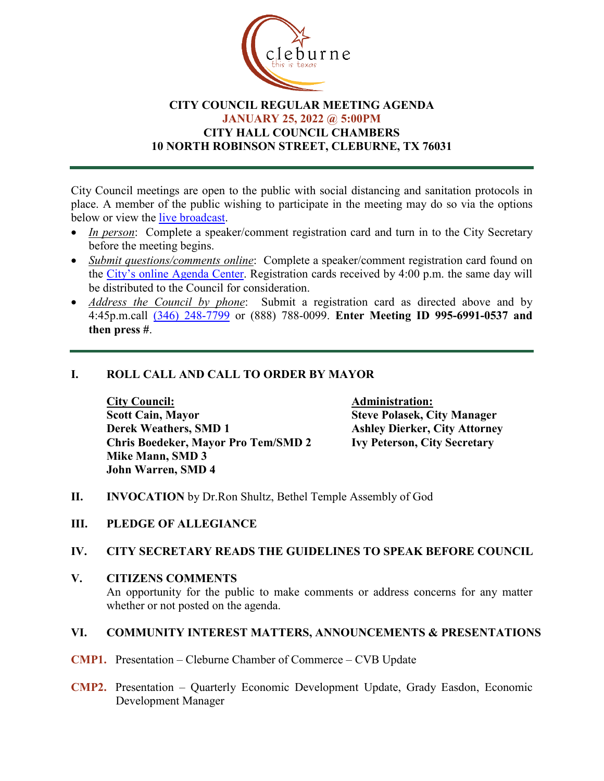

## **CITY COUNCIL REGULAR MEETING AGENDA JANUARY 25, 2022 @ 5:00PM CITY HALL COUNCIL CHAMBERS 10 NORTH ROBINSON STREET, CLEBURNE, TX 76031**

City Council meetings are open to the public with social distancing and sanitation protocols in place. A member of the public wishing to participate in the meeting may do so via the options below or view the [live broadcast.](http://www.cleburne.net/925/Cleburne-Live)

- *In person*: Complete a speaker/comment registration card and turn in to the City Secretary before the meeting begins.
- *Submit questions/comments online*: Complete a speaker/comment registration card found on the [City's online Agenda Center.](https://www.cleburne.net/agendacenter) Registration cards received by 4:00 p.m. the same day will be distributed to the Council for consideration.
- *Address the Council by phone*: Submit a registration card as directed above and by 4:45p.m.call [\(346\) 248-7799](tel:+13127573117,,477307821) or (888) 788-0099. **Enter Meeting ID 995-6991-0537 and then press #**.

## **I. ROLL CALL AND CALL TO ORDER BY MAYOR**

**City Council: Administration: Scott Cain, Mayor Derek Weathers, SMD 1 Chris Boedeker, Mayor Pro Tem/SMD 2 Mike Mann, SMD 3 John Warren, SMD 4**

**Steve Polasek, City Manager Ashley Dierker, City Attorney Ivy Peterson, City Secretary**

- **II. INVOCATION** by Dr.Ron Shultz, Bethel Temple Assembly of God
- **III. PLEDGE OF ALLEGIANCE**

#### **IV. CITY SECRETARY READS THE GUIDELINES TO SPEAK BEFORE COUNCIL**

**V. CITIZENS COMMENTS** An opportunity for the public to make comments or address concerns for any matter whether or not posted on the agenda.

#### **VI. COMMUNITY INTEREST MATTERS, ANNOUNCEMENTS & PRESENTATIONS**

- **CMP1.** Presentation Cleburne Chamber of Commerce CVB Update
- **CMP2.** Presentation Quarterly Economic Development Update, Grady Easdon, Economic Development Manager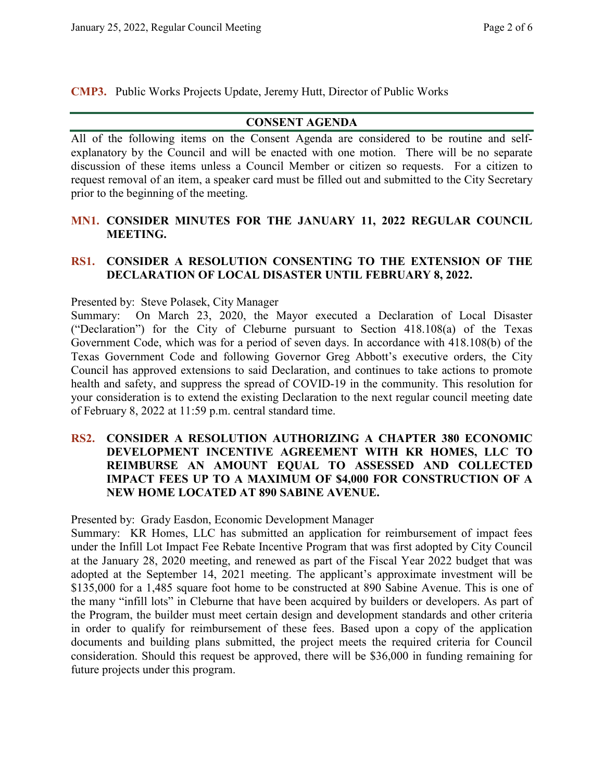**CMP3.** Public Works Projects Update, Jeremy Hutt, Director of Public Works

## **CONSENT AGENDA**

All of the following items on the Consent Agenda are considered to be routine and selfexplanatory by the Council and will be enacted with one motion. There will be no separate discussion of these items unless a Council Member or citizen so requests. For a citizen to request removal of an item, a speaker card must be filled out and submitted to the City Secretary prior to the beginning of the meeting.

### **MN1. CONSIDER MINUTES FOR THE JANUARY 11, 2022 REGULAR COUNCIL MEETING.**

#### **RS1. CONSIDER A RESOLUTION CONSENTING TO THE EXTENSION OF THE DECLARATION OF LOCAL DISASTER UNTIL FEBRUARY 8, 2022.**

Presented by: Steve Polasek, City Manager

Summary: On March 23, 2020, the Mayor executed a Declaration of Local Disaster ("Declaration") for the City of Cleburne pursuant to Section 418.108(a) of the Texas Government Code, which was for a period of seven days. In accordance with 418.108(b) of the Texas Government Code and following Governor Greg Abbott's executive orders, the City Council has approved extensions to said Declaration, and continues to take actions to promote health and safety, and suppress the spread of COVID-19 in the community. This resolution for your consideration is to extend the existing Declaration to the next regular council meeting date of February 8, 2022 at 11:59 p.m. central standard time.

### **RS2. CONSIDER A RESOLUTION AUTHORIZING A CHAPTER 380 ECONOMIC DEVELOPMENT INCENTIVE AGREEMENT WITH KR HOMES, LLC TO REIMBURSE AN AMOUNT EQUAL TO ASSESSED AND COLLECTED IMPACT FEES UP TO A MAXIMUM OF \$4,000 FOR CONSTRUCTION OF A NEW HOME LOCATED AT 890 SABINE AVENUE.**

Presented by: Grady Easdon, Economic Development Manager

Summary: KR Homes, LLC has submitted an application for reimbursement of impact fees under the Infill Lot Impact Fee Rebate Incentive Program that was first adopted by City Council at the January 28, 2020 meeting, and renewed as part of the Fiscal Year 2022 budget that was adopted at the September 14, 2021 meeting. The applicant's approximate investment will be \$135,000 for a 1,485 square foot home to be constructed at 890 Sabine Avenue. This is one of the many "infill lots" in Cleburne that have been acquired by builders or developers. As part of the Program, the builder must meet certain design and development standards and other criteria in order to qualify for reimbursement of these fees. Based upon a copy of the application documents and building plans submitted, the project meets the required criteria for Council consideration. Should this request be approved, there will be \$36,000 in funding remaining for future projects under this program.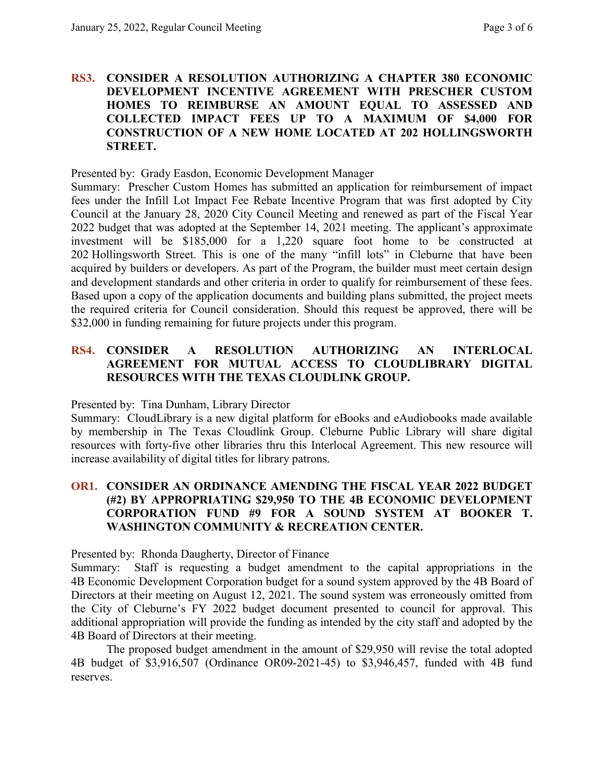#### **RS3. CONSIDER A RESOLUTION AUTHORIZING A CHAPTER 380 ECONOMIC DEVELOPMENT INCENTIVE AGREEMENT WITH PRESCHER CUSTOM HOMES TO REIMBURSE AN AMOUNT EQUAL TO ASSESSED AND COLLECTED IMPACT FEES UP TO A MAXIMUM OF \$4,000 FOR CONSTRUCTION OF A NEW HOME LOCATED AT 202 HOLLINGSWORTH STREET.**

Presented by: Grady Easdon, Economic Development Manager

Summary: Prescher Custom Homes has submitted an application for reimbursement of impact fees under the Infill Lot Impact Fee Rebate Incentive Program that was first adopted by City Council at the January 28, 2020 City Council Meeting and renewed as part of the Fiscal Year 2022 budget that was adopted at the September 14, 2021 meeting. The applicant's approximate investment will be \$185,000 for a 1,220 square foot home to be constructed at 202 Hollingsworth Street. This is one of the many "infill lots" in Cleburne that have been acquired by builders or developers. As part of the Program, the builder must meet certain design and development standards and other criteria in order to qualify for reimbursement of these fees. Based upon a copy of the application documents and building plans submitted, the project meets the required criteria for Council consideration. Should this request be approved, there will be \$32,000 in funding remaining for future projects under this program.

## **RS4. CONSIDER A RESOLUTION AUTHORIZING AN INTERLOCAL AGREEMENT FOR MUTUAL ACCESS TO CLOUDLIBRARY DIGITAL RESOURCES WITH THE TEXAS CLOUDLINK GROUP.**

Presented by: Tina Dunham, Library Director

Summary: CloudLibrary is a new digital platform for eBooks and eAudiobooks made available by membership in The Texas Cloudlink Group. Cleburne Public Library will share digital resources with forty-five other libraries thru this Interlocal Agreement. This new resource will increase availability of digital titles for library patrons.

## **OR1. CONSIDER AN ORDINANCE AMENDING THE FISCAL YEAR 2022 BUDGET (#2) BY APPROPRIATING \$29,950 TO THE 4B ECONOMIC DEVELOPMENT CORPORATION FUND #9 FOR A SOUND SYSTEM AT BOOKER T. WASHINGTON COMMUNITY & RECREATION CENTER.**

Presented by: Rhonda Daugherty, Director of Finance

Summary: Staff is requesting a budget amendment to the capital appropriations in the 4B Economic Development Corporation budget for a sound system approved by the 4B Board of Directors at their meeting on August 12, 2021. The sound system was erroneously omitted from the City of Cleburne's FY 2022 budget document presented to council for approval. This additional appropriation will provide the funding as intended by the city staff and adopted by the 4B Board of Directors at their meeting.

The proposed budget amendment in the amount of \$29,950 will revise the total adopted 4B budget of \$3,916,507 (Ordinance OR09-2021-45) to \$3,946,457, funded with 4B fund reserves.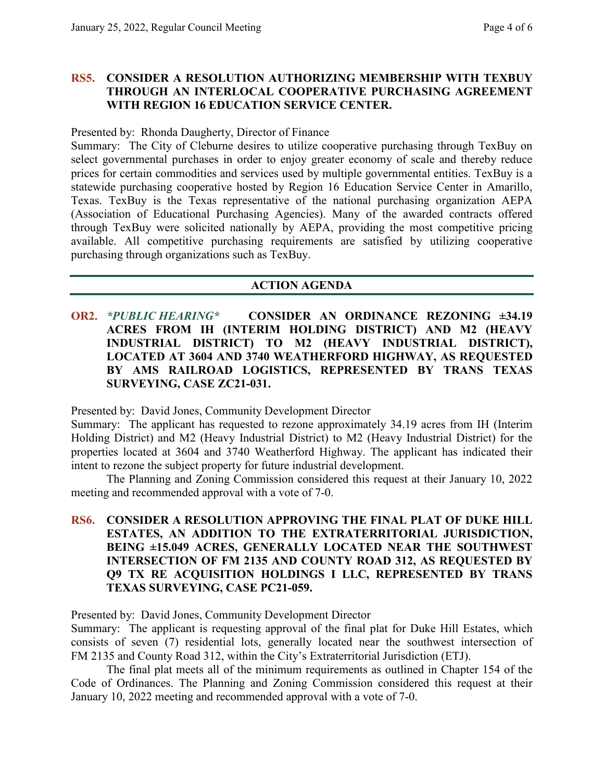#### **RS5. CONSIDER A RESOLUTION AUTHORIZING MEMBERSHIP WITH TEXBUY THROUGH AN INTERLOCAL COOPERATIVE PURCHASING AGREEMENT WITH REGION 16 EDUCATION SERVICE CENTER.**

Presented by: Rhonda Daugherty, Director of Finance

Summary: The City of Cleburne desires to utilize cooperative purchasing through TexBuy on select governmental purchases in order to enjoy greater economy of scale and thereby reduce prices for certain commodities and services used by multiple governmental entities. TexBuy is a statewide purchasing cooperative hosted by Region 16 Education Service Center in Amarillo, Texas. TexBuy is the Texas representative of the national purchasing organization AEPA (Association of Educational Purchasing Agencies). Many of the awarded contracts offered through TexBuy were solicited nationally by AEPA, providing the most competitive pricing available. All competitive purchasing requirements are satisfied by utilizing cooperative purchasing through organizations such as TexBuy.

### **ACTION AGENDA**

**OR2.** *\*PUBLIC HEARING\** **CONSIDER AN ORDINANCE REZONING ±34.19 ACRES FROM IH (INTERIM HOLDING DISTRICT) AND M2 (HEAVY INDUSTRIAL DISTRICT) TO M2 (HEAVY INDUSTRIAL DISTRICT), LOCATED AT 3604 AND 3740 WEATHERFORD HIGHWAY, AS REQUESTED BY AMS RAILROAD LOGISTICS, REPRESENTED BY TRANS TEXAS SURVEYING, CASE ZC21-031.**

Presented by: David Jones, Community Development Director

Summary: The applicant has requested to rezone approximately 34.19 acres from IH (Interim Holding District) and M2 (Heavy Industrial District) to M2 (Heavy Industrial District) for the properties located at 3604 and 3740 Weatherford Highway. The applicant has indicated their intent to rezone the subject property for future industrial development.

The Planning and Zoning Commission considered this request at their January 10, 2022 meeting and recommended approval with a vote of 7-0.

## **RS6. CONSIDER A RESOLUTION APPROVING THE FINAL PLAT OF DUKE HILL ESTATES, AN ADDITION TO THE EXTRATERRITORIAL JURISDICTION, BEING ±15.049 ACRES, GENERALLY LOCATED NEAR THE SOUTHWEST INTERSECTION OF FM 2135 AND COUNTY ROAD 312, AS REQUESTED BY Q9 TX RE ACQUISITION HOLDINGS I LLC, REPRESENTED BY TRANS TEXAS SURVEYING, CASE PC21-059.**

Presented by: David Jones, Community Development Director

Summary: The applicant is requesting approval of the final plat for Duke Hill Estates, which consists of seven (7) residential lots, generally located near the southwest intersection of FM 2135 and County Road 312, within the City's Extraterritorial Jurisdiction (ETJ).

The final plat meets all of the minimum requirements as outlined in Chapter 154 of the Code of Ordinances. The Planning and Zoning Commission considered this request at their January 10, 2022 meeting and recommended approval with a vote of 7-0.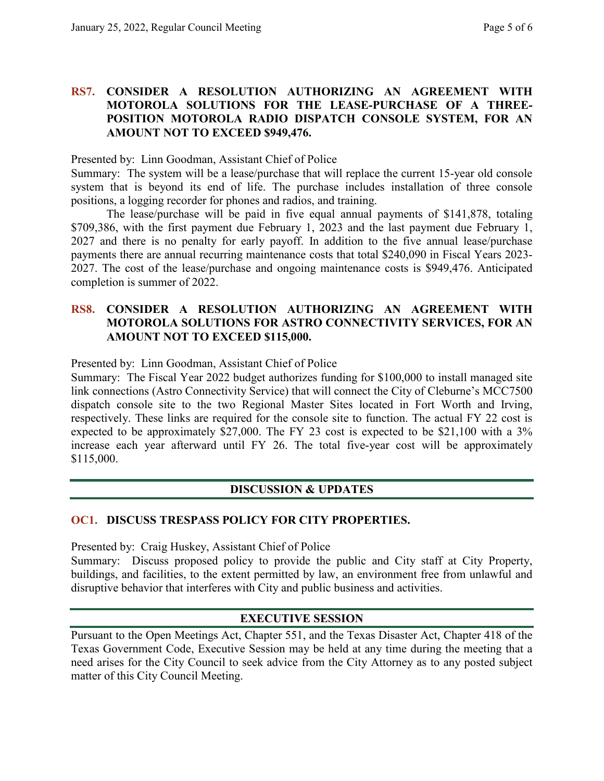### **RS7. CONSIDER A RESOLUTION AUTHORIZING AN AGREEMENT WITH MOTOROLA SOLUTIONS FOR THE LEASE-PURCHASE OF A THREE-POSITION MOTOROLA RADIO DISPATCH CONSOLE SYSTEM, FOR AN AMOUNT NOT TO EXCEED \$949,476.**

Presented by: Linn Goodman, Assistant Chief of Police

Summary: The system will be a lease/purchase that will replace the current 15-year old console system that is beyond its end of life. The purchase includes installation of three console positions, a logging recorder for phones and radios, and training.

The lease/purchase will be paid in five equal annual payments of \$141,878, totaling \$709,386, with the first payment due February 1, 2023 and the last payment due February 1, 2027 and there is no penalty for early payoff. In addition to the five annual lease/purchase payments there are annual recurring maintenance costs that total \$240,090 in Fiscal Years 2023- 2027. The cost of the lease/purchase and ongoing maintenance costs is \$949,476. Anticipated completion is summer of 2022.

#### **RS8. CONSIDER A RESOLUTION AUTHORIZING AN AGREEMENT WITH MOTOROLA SOLUTIONS FOR ASTRO CONNECTIVITY SERVICES, FOR AN AMOUNT NOT TO EXCEED \$115,000.**

Presented by: Linn Goodman, Assistant Chief of Police

Summary: The Fiscal Year 2022 budget authorizes funding for \$100,000 to install managed site link connections (Astro Connectivity Service) that will connect the City of Cleburne's MCC7500 dispatch console site to the two Regional Master Sites located in Fort Worth and Irving, respectively. These links are required for the console site to function. The actual FY 22 cost is expected to be approximately \$27,000. The FY 23 cost is expected to be \$21,100 with a 3% increase each year afterward until FY 26. The total five-year cost will be approximately \$115,000.

## **DISCUSSION & UPDATES**

## **OC1. DISCUSS TRESPASS POLICY FOR CITY PROPERTIES.**

Presented by: Craig Huskey, Assistant Chief of Police Summary: Discuss proposed policy to provide the public and City staff at City Property, buildings, and facilities, to the extent permitted by law, an environment free from unlawful and disruptive behavior that interferes with City and public business and activities.

## **EXECUTIVE SESSION**

Pursuant to the Open Meetings Act, Chapter 551, and the Texas Disaster Act, Chapter 418 of the Texas Government Code, Executive Session may be held at any time during the meeting that a need arises for the City Council to seek advice from the City Attorney as to any posted subject matter of this City Council Meeting.